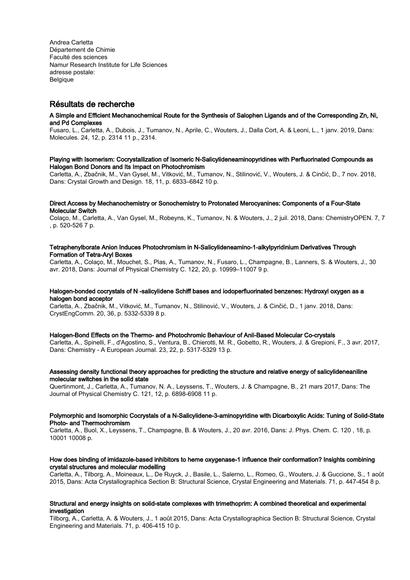Andrea Carletta Département de Chimie Faculté des sciences Namur Research Institute for Life Sciences adresse postale: **Belgique** 

# Résultats de recherche

#### A Simple and Efficient Mechanochemical Route for the Synthesis of Salophen Ligands and of the Corresponding Zn, Ni, and Pd Complexes

Fusaro, L., Carletta, A., Dubois, J., Tumanov, N., Aprile, C., Wouters, J., Dalla Cort, A. & Leoni, L., 1 janv. 2019, Dans: Molecules. 24, 12, p. 2314 11 p., 2314.

#### Playing with Isomerism: Cocrystallization of Isomeric N-Salicylideneaminopyridines with Perfluorinated Compounds as Halogen Bond Donors and Its Impact on Photochromism

Carletta, A., Zbačnik, M., Van Gysel, M., Vitković, M., Tumanov, N., Stilinović, V., Wouters, J. & Cinčić, D., 7 nov. 2018, Dans: Crystal Growth and Design. 18, 11, p. 6833–6842 10 p.

# Direct Access by Mechanochemistry or Sonochemistry to Protonated Merocyanines: Components of a Four‐State Molecular Switch

Colaço, M., Carletta, A., Van Gysel, M., Robeyns, K., Tumanov, N. & Wouters, J., 2 juil. 2018, Dans: ChemistryOPEN. 7, 7 , p. 520-526 7 p.

## Tetraphenylborate Anion Induces Photochromism in N-Salicylideneamino-1-alkylpyridinium Derivatives Through Formation of Tetra-Aryl Boxes

Carletta, A., Colaço, M., Mouchet, S., Plas, A., Tumanov, N., Fusaro, L., Champagne, B., Lanners, S. & Wouters, J., 30 avr. 2018, Dans: Journal of Physical Chemistry C. 122, 20, p. 10999–11007 9 p.

## Halogen-bonded cocrystals of N -salicylidene Schiff bases and iodoperfluorinated benzenes: Hydroxyl oxygen as a halogen bond acceptor

Carletta, A., Zbačnik, M., Vitković, M., Tumanov, N., Stilinović, V., Wouters, J. & Cinčić, D., 1 janv. 2018, Dans: CrystEngComm. 20, 36, p. 5332-5339 8 p.

#### Halogen-Bond Effects on the Thermo- and Photochromic Behaviour of Anil-Based Molecular Co-crystals

Carletta, A., Spinelli, F., d'Agostino, S., Ventura, B., Chierotti, M. R., Gobetto, R., Wouters, J. & Grepioni, F., 3 avr. 2017, Dans: Chemistry - A European Journal. 23, 22, p. 5317-5329 13 p.

## Assessing density functional theory approaches for predicting the structure and relative energy of salicylideneaniline molecular switches in the solid state

Quertinmont, J., Carletta, A., Tumanov, N. A., Leyssens, T., Wouters, J. & Champagne, B., 21 mars 2017, Dans: The Journal of Physical Chemistry C. 121, 12, p. 6898-6908 11 p.

## Polymorphic and Isomorphic Cocrystals of a N-Salicylidene-3-aminopyridine with Dicarboxylic Acids: Tuning of Solid-State Photo- and Thermochromism

Carletta, A., Buol, X., Leyssens, T., Champagne, B. & Wouters, J., 20 avr. 2016, Dans: J. Phys. Chem. C. 120 , 18, p. 10001 10008 p.

# How does binding of imidazole-based inhibitors to heme oxygenase-1 influence their conformation? Insights combining crystal structures and molecular modelling

Carletta, A., Tilborg, A., Moineaux, L., De Ruyck, J., Basile, L., Salerno, L., Romeo, G., Wouters, J. & Guccione, S., 1 août 2015, Dans: Acta Crystallographica Section B: Structural Science, Crystal Engineering and Materials. 71, p. 447-454 8 p.

#### Structural and energy insights on solid-state complexes with trimethoprim: A combined theoretical and experimental investigation

Tilborg, A., Carletta, A. & Wouters, J., 1 août 2015, Dans: Acta Crystallographica Section B: Structural Science, Crystal Engineering and Materials. 71, p. 406-415 10 p.